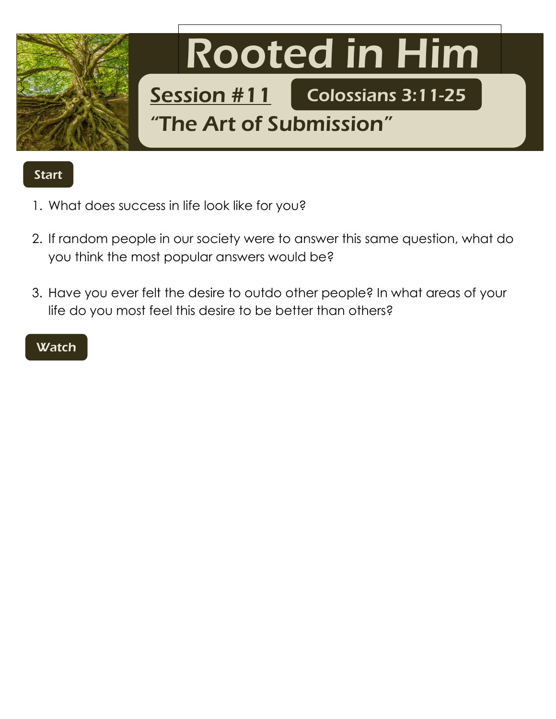

## **Start**

- 1. What does success in life look like for you?
- 2. If random people in our society were to answer this same question, what do you think the most popular answers would be?
- 3. Have you ever felt the desire to outdo other people? In what areas of your life do you most feel this desire to be better than others?

## **Watch**